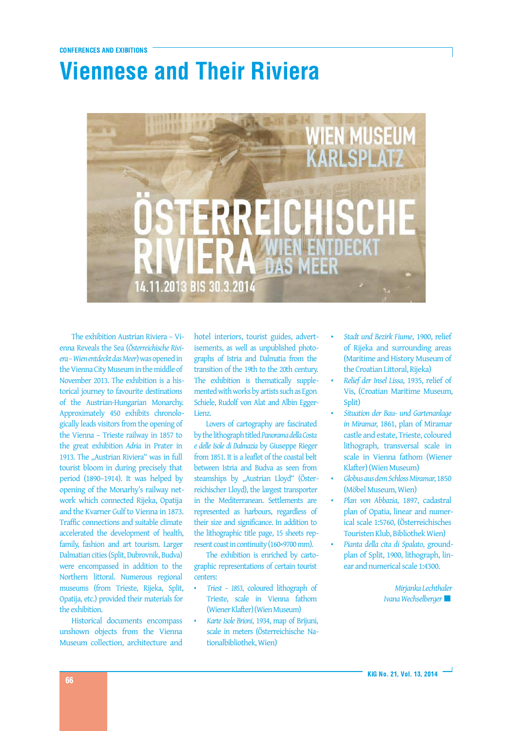## **Viennese and Their Riviera**



The exhibition Austrian Riviera – Vienna Reveals the Sea (*Österreichische Riviera–WienentdecktdasMeer*)wasopenedin the Vienna City Museum in the middle of November 2013. The exhibition is a historical journey to favourite destinations of the Austrian-Hungarian Monarchy. Approximately 450 exhibits chronologically leads visitors from the opening of the Vienna – Trieste railway in 1857 to the great exhibition *Adria* in Prater in 1913. The "Austrian Riviera" was in full tourist bloom in during precisely that period (1890–1914). It was helped by opening of the Monarhy's railway network which connected Rijeka, Opatija and the Kvarner Gulf to Vienna in 1873. Traffic connections and suitable climate accelerated the development of health, family, fashion and art tourism. Larger Dalmatian cities (Split, Dubrovnik, Budva) were encompassed in addition to the Northern littoral. Numerous regional museums (from Trieste, Rijeka, Split, Opatija, etc.) provided their materials for the exhibition.

Historical documents encompass unshown objects from the Vienna Museum collection, architecture and

hotel interiors, tourist guides, advertisements, as well as unpublished photographs of Istria and Dalmatia from the transition of the 19th to the 20th century. The exhibition is thematically supplemented with works by artists such as Egon Schiele, Rudolf von Alat and Albin Egger-Lienz.

Lovers of cartography are fascinated bythelithographtitled*PanoramadellaCosta e delle Isole di Dalmazia* by Giuseppe Rieger from 1851. It is a leaflet of the coastal belt between Istria and Budva as seen from steamships by "Austrian Lloyd" (Österreichischer Lloyd), the largest transporter in the Mediterranean. Settlements are represented as harbours, regardless of their size and significance. In addition to the lithographic title page, 15 sheets represent coast in continuity (160×9700 mm).

The exhibition is enriched by cartographic representations of certain tourist centers:

- *Triest – 1853*, coloured lithograph of Trieste, scale in Vienna fathom (Wiener Klafter) (Wien Museum)
- *Karte Isole Brioni*, 1934, map of Brijuni, scale in meters (Österreichische Nationalbibliothek, Wien)
- *Stadt und Bezirk Fiume*, 1900, relief of Rijeka and surrounding areas (Maritime and History Museum of the Croatian Littoral, Rijeka)
- *Relief der Insel Lissa*, 1935, relief of Vis, (Croatian Maritime Museum, Split)
- *Situation der Bau- und Gartenanlage in Miramar*, 1861, plan of Miramar castle and estate, Trieste, coloured lithograph, transversal scale in scale in Vienna fathom (Wiener Klafter) (Wien Museum)
- *GlobusausdemSchlossMiramar*,1850 (Möbel Museum, Wien)
- *Plan von Abbazia*, 1897, cadastral plan of Opatia, linear and numerical scale 1:5760, (Österreichisches Touristen Klub, Bibliothek Wien)
- *Pianta della cita di Spalato*, groundplan of Split, 1900, lithograph, linear andnumericalscale 1:4300.

*MirjankaLechthaler IvanaWechselberger*